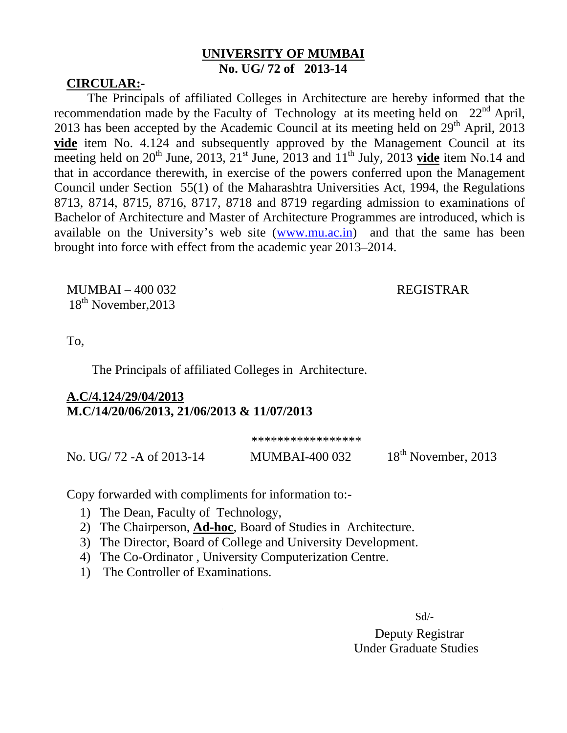## **UNIVERSITY OF MUMBAI No. UG/ 72 of 2013-14**

## **CIRCULAR:-**

The Principals of affiliated Colleges in Architecture are hereby informed that the recommendation made by the Faculty of Technology at its meeting held on  $22<sup>nd</sup>$  April, 2013 has been accepted by the Academic Council at its meeting held on  $29<sup>th</sup>$  April, 2013 **vide** item No. 4.124 and subsequently approved by the Management Council at its meeting held on  $20^{th}$  June,  $2013$ ,  $21^{st}$  June,  $2013$  and  $11^{th}$  July,  $2013$  **vide** item No.14 and that in accordance therewith, in exercise of the powers conferred upon the Management Council under Section 55(1) of the Maharashtra Universities Act, 1994, the Regulations 8713, 8714, 8715, 8716, 8717, 8718 and 8719 regarding admission to examinations of Bachelor of Architecture and Master of Architecture Programmes are introduced, which is available on the University's web site (www.mu.ac.in) and that the same has been brought into force with effect from the academic year 2013–2014.

MUMBAI – 400 032 REGISTRAR 18<sup>th</sup> November, 2013

To,

The Principals of affiliated Colleges in Architecture.

# **A.C/4.124/29/04/2013 M.C/14/20/06/2013, 21/06/2013 & 11/07/2013**

\*\*\*\*\*\*\*\*\*\*\*\*\*\*\*\*\*

No. UG/ 72 - A of 2013-14 MUMBAI-400 032 18<sup>th</sup> November, 2013

Copy forwarded with compliments for information to:-

- 1) The Dean, Faculty of Technology,
- 2) The Chairperson, **Ad-hoc**, Board of Studies in Architecture.
- 3) The Director, Board of College and University Development.
- 4) The Co-Ordinator , University Computerization Centre.
- 1) The Controller of Examinations.

 $Sd$ 

 Deputy Registrar Under Graduate Studies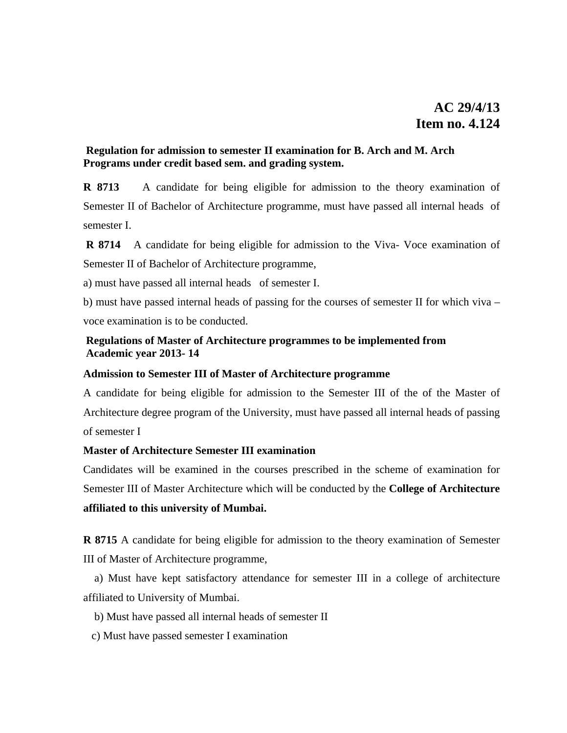## **Regulation for admission to semester II examination for B. Arch and M. Arch Programs under credit based sem. and grading system.**

**R 8713** A candidate for being eligible for admission to the theory examination of Semester II of Bachelor of Architecture programme, must have passed all internal heads of semester I.

**R 8714** A candidate for being eligible for admission to the Viva- Voce examination of Semester II of Bachelor of Architecture programme,

a) must have passed all internal heads of semester I.

b) must have passed internal heads of passing for the courses of semester II for which viva – voce examination is to be conducted.

## **Regulations of Master of Architecture programmes to be implemented from Academic year 2013- 14**

### **Admission to Semester III of Master of Architecture programme**

A candidate for being eligible for admission to the Semester III of the of the Master of Architecture degree program of the University, must have passed all internal heads of passing of semester I

### **Master of Architecture Semester III examination**

Candidates will be examined in the courses prescribed in the scheme of examination for Semester III of Master Architecture which will be conducted by the **College of Architecture affiliated to this university of Mumbai.**

**R 8715** A candidate for being eligible for admission to the theory examination of Semester III of Master of Architecture programme,

 a) Must have kept satisfactory attendance for semester III in a college of architecture affiliated to University of Mumbai.

- b) Must have passed all internal heads of semester II
- c) Must have passed semester I examination